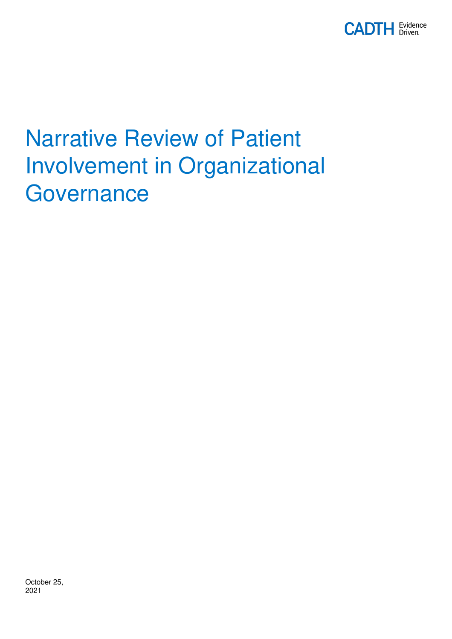

# Narrative Review of Patient Involvement in Organizational **Governance**

October 25, 2021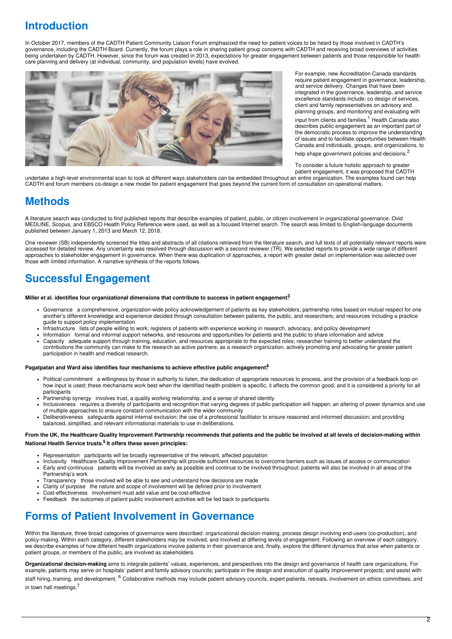# **Introduction**

In October 2017, members of the CADTH Patient Community Liaison Forum emphasized the need for patient voices to be heard by those involved in CADTH's governance, including the CADTH Board. Currently, the forum plays a role in sharing patient group concerns with CADTH and receiving broad overviews of activities being undertaken by CADTH. However, since the forum was created in 2013, expectations for greater engagement between patients and those responsible for health care planning and delivery (at individual, community, and population levels) have evolved.



For example, new Accreditation Canada standards require patient engagement in governance, leadership, and service delivery. Changes that have been integrated in the governance, leadership, and service excellence standards include: co design of services, client and family representatives on advisory and planning groups, and monitoring and evaluating with

input from clients and families. <sup>1</sup> Health Canada also describes public engagement as an important part of the democratic process to improve the understanding of issues and to facilitate opportunities between Health Canada and individuals, groups, and organizations, to help shape government policies and decisions.<sup>2</sup>

To consider a future holistic approach to greater

patient engagement, it was proposed that CADTH undertake a high-level environmental scan to look at different ways stakeholders can be embedded throughout an entire organization. The examples found can help CADTH and forum members co-design a new model for patient engagement that goes beyond the current form of consultation on operational matters.

# **Methods**

A literature search was conducted to find published reports that describe examples of patient, public, or citizen involvement in organizational governance. Ovid MEDLINE, Scopus, and EBSCO Health Policy Reference were used, as well as a focused Internet search. The search was limited to English-language documents published between January 1, 2013 and March 12, 2018.

One reviewer (SB) independently screened the titles and abstracts of all citations retrieved from the literature search, and full texts of all potentially relevant reports were accessed for detailed review. Any uncertainty was resolved through discussion with a second reviewer (TR). We selected reports to provide a wide range of different approaches to stakeholder engagement in governance. When there was duplication of approaches, a report with greater detail on implementation was selected over those with limited information. A narrative synthesis of the reports follows.

# **Successful Engagement**

#### **Miller et al. identifies four organizational dimensions that contribute to success in patient engagement: 3**

- Governance a comprehensive, organization-wide policy acknowledgement of patients as key stakeholders; partnership roles based on mutual respect for one another's different knowledge and experience decided through consultation between patients, the public, and researchers; and resources including a practice guide to support policy implementation
- Infrastructure lists of people willing to work; registers of patients with experience working in research, advocacy, and policy development
- Information formal and informal support networks, and resources and opportunities for patients and the public to share information and advice
- Capacity adequate support through training, education, and resources appropriate to the expected roles; researcher training to better understand the contributions the community can make to the research as active partners; as a research organization, actively promoting and advocating for greater patient participation in health and medical research.

#### **Pagatpatan and Ward also identifies four mechanisms to achieve effective public engagement: 4**

- Political commitment a willingness by those in authority to listen, the dedication of appropriate resources to process, and the provision of a feedback loop on how input is used; these mechanisms work best when the identified health problem is specific, it affects the common good, and it is considered a priority for all participants
- Partnership synergy involves trust, a quality working relationship, and a sense of shared identity
- Inclusiveness requires a diversity of participants and recognition that varying degrees of public participation will happen; an altering of power dynamics and use of multiple approaches to ensure constant communication with the wider community
- Deliberativeness safeguards against internal exclusion; the use of a professional facilitator to ensure reasoned and informed discussion; and providing balanced, simplified, and relevant informational materials to use in deliberations.

#### From the UK, the Healthcare Quality Improvement Partnership recommends that patients and the public be involved at all levels of decision-making within **National Health Service trusts. 5 It offers these seven principles:**

- Representation participants will be broadly representative of the relevant, affected population
- Inclusivity Healthcare Quality Improvement Partnership will provide sufficient resources to overcome barriers such as issues of access or communication Early and continuous patients will be involved as early as possible and continue to be involved throughout; patients will also be involved in all areas of the Partnership's work
- Transparency those involved will be able to see and understand how decisions are made
- Clarity of purpose the nature and scope of involvement will be defined prior to involvement
- Cost-effectiveness involvement must add value and be cost-effective
- Feedback the outcomes of patient public involvement activities will be fed back to participants.

# **Forms of Patient Involvement in Governance**

Within the literature, three broad categories of governance were described: organizational decision-making, process design involving end-users (co-production), and policy-making. Within each category, different stakeholders may be involved, and involved at differing levels of engagement. Following an overview of each category, we describe examples of how different health organizations involve patients in their governance and, finally, explore the different dynamics that arise when patients or patient groups, or members of the public, are involved as stakeholders.

**Organizational decision-making** aims to integrate patients' values, experiences, and perspectives into the design and governance of health care organizations. For example, patients may serve on hospitals' patient and family advisory councils; participate in the design and execution of quality improvement projects; and assist with staff hiring, training, and development. <sup>6</sup> Collaborative methods may include patient advisory councils, expert patients, retreats, involvement on ethics committees, and in town hall meetings. 7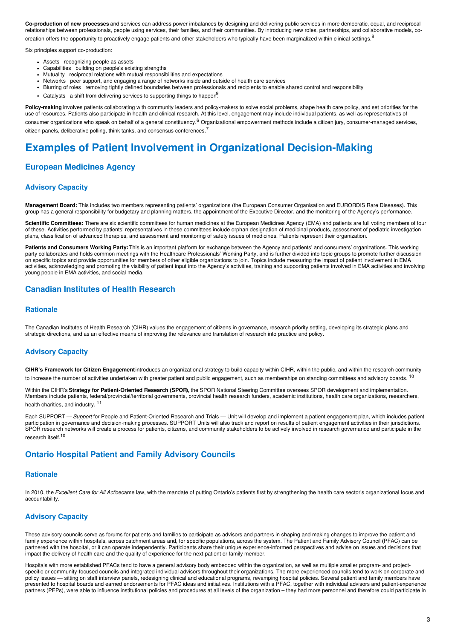**Co-production of new processes** and services can address power imbalances by designing and delivering public services in more democratic, equal, and reciprocal relationships between professionals, people using services, their families, and their communities. By introducing new roles, partnerships, and collaborative models, cocreation offers the opportunity to proactively engage patients and other stakeholders who typically have been marginalized within clinical settings.  $^8$ 

Six principles support co-production:

- Assets recognizing people as assets
- Capabilities building on people's existing strengths
- Mutuality reciprocal relations with mutual responsibilities and expectations
- Networks peer support, and engaging a range of networks inside and outside of health care services
- Blurring of roles removing tightly defined boundaries between professionals and recipients to enable shared control and responsibility
- Catalysts a shift from delivering services to supporting things to happen<sup>9</sup>

Policy-making involves patients collaborating with community leaders and policy-makers to solve social problems, shape health care policy, and set priorities for the use of resources. Patients also participate in health and clinical research. At this level, engagement may include individual patients, as well as representatives of consumer organizations who speak on behalf of a general constituency.<sup>6</sup> Organizational empowerment methods include a citizen jury, consumer-managed services, citizen panels, deliberative polling, think tanks, and consensus conferences.<sup>7</sup>

# **Examples of Patient Involvement in Organizational Decision-Making**

### **European Medicines Agency**

#### **Advisory Capacity**

**Management Board:** This includes two members representing patients' organizations (the European Consumer Organisation and EURORDIS Rare Diseases). This group has a general responsibility for budgetary and planning matters, the appointment of the Executive Director, and the monitoring of the Agency's performance.

**Scientific Committees:** There are six scientific committees for human medicines at the European Medicines Agency (EMA) and patients are full voting members of four of these. Activities performed by patients' representatives in these committees include orphan designation of medicinal products, assessment of pediatric investigation plans, classification of advanced therapies, and assessment and monitoring of safety issues of medicines. Patients represent their organization.

**Patients and Consumers Working Party:** This is an important platform for exchange between the Agency and patients' and consumers' organizations. This working party collaborates and holds common meetings with the Healthcare Professionals' Working Party, and is further divided into topic groups to promote further discussion on specific topics and provide opportunities for members of other eligible organizations to join. Topics include measuring the impact of patient involvement in EMA activities, acknowledging and promoting the visibility of patient input into the Agency's activities, training and supporting patients involved in EMA activities and involving young people in EMA activities, and social media.

#### **Canadian Institutes of Health Research**

#### **Rationale**

The Canadian Institutes of Health Research (CIHR) values the engagement of citizens in governance, research priority setting, developing its strategic plans and strategic directions, and as an effective means of improving the relevance and translation of research into practice and policy.

#### **Advisory Capacity**

**CIHR's Framework for Citizen Engagement**introduces an organizational strategy to build capacity within CIHR, within the public, and within the research community to increase the number of activities undertaken with greater patient and public engagement, such as memberships on standing committees and advisory boards. <sup>10</sup>

Within the CIHR's **Strategy for Patient-Oriented Research (SPOR),** the SPOR National Steering Committee oversees SPOR development and implementation. Members include patients, federal/provincial/territorial governments, provincial health research funders, academic institutions, health care organizations, researchers, health charities, and industry. 11

Each SUPPORT — *Support* for People and Patient-Oriented Research and Trials — Unit will develop and implement a patient engagement plan, which includes patient participation in governance and decision-making processes. SUPPORT Units will also track and report on results of patient engagement activities in their jurisdictions. SPOR research networks will create a process for patients, citizens, and community stakeholders to be actively involved in research governance and participate in the research itself.<sup>10</sup>

#### **Ontario Hospital Patient and Family Advisory Councils**

#### **Rationale**

In 2010, the *Excellent Care for All Act* became law, with the mandate of putting Ontario's patients first by strengthening the health care sector's organizational focus and accountability.

### **Advisory Capacity**

These advisory councils serve as forums for patients and families to participate as advisors and partners in shaping and making changes to improve the patient and family experience within hospitals, across catchment areas and, for specific populations, across the system. The Patient and Family Advisory Council **(**PFAC) can be partnered with the hospital, or it can operate independently. Participants share their unique experience-informed perspectives and advise on issues and decisions that impact the delivery of health care and the quality of experience for the next patient or family member.

Hospitals with more established PFACs tend to have a general advisory body embedded within the organization, as well as multiple smaller program- and projectspecific or community-focused councils and integrated individual advisors throughout their organizations. The more experienced councils tend to work on corporate and policy issues — sitting on staff interview panels, redesigning clinical and educational programs, revamping hospital policies. Several patient and family members have presented to hospital boards and earned endorsements for PFAC ideas and initiatives. Institutions with a PFAC, together with individual advisors and patient-experience partners (PEPs), were able to influence institutional policies and procedures at all levels of the organization – they had more personnel and therefore could participate in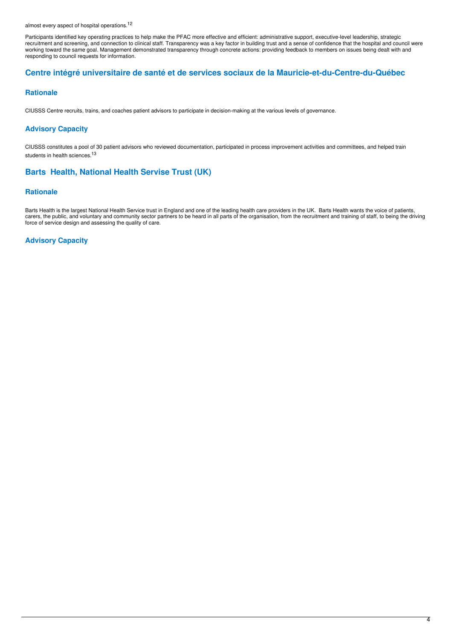almost every aspect of hospital operations.<sup>12</sup>

Participants identified key operating practices to help make the PFAC more effective and efficient: administrative support, executive-level leadership, strategic recruitment and screening, and connection to clinical staff. Transparency was a key factor in building trust and a sense of confidence that the hospital and council were working toward the same goal. Management demonstrated transparency through concrete actions: providing feedback to members on issues being dealt with and responding to council requests for information.

#### **Centre intégré universitaire de santé et de services sociaux de la Mauricie-et-du-Centre-du-Québec**

#### **Rationale**

CIUSSS Centre recruits, trains, and coaches patient advisors to participate in decision-making at the various levels of governance.

#### **Advisory Capacity**

CIUSSS constitutes a pool of 30 patient advisors who reviewed documentation, participated in process improvement activities and committees, and helped train students in health sciences.<sup>13</sup>

### **Barts Health, National Health Servise Trust (UK)**

#### **Rationale**

Barts Health is the largest National Health Service trust in England and one of the leading health care providers in the UK. Barts Health wants the voice of patients, carers, the public, and voluntary and community sector partners to be heard in all parts of the organisation, from the recruitment and training of staff, to being the driving force of service design and assessing the quality of care.

#### **Advisory Capacity**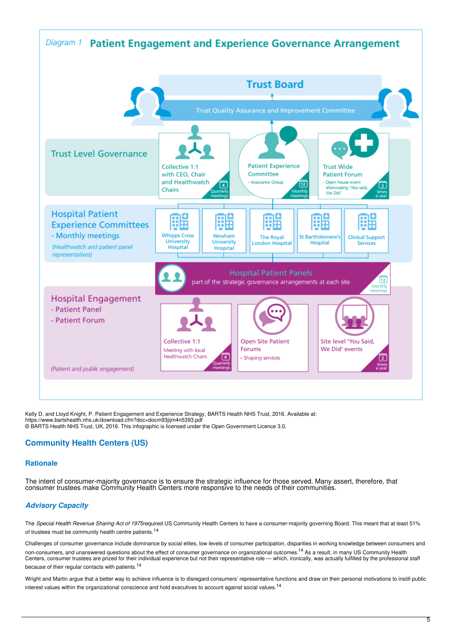

Kelly D. and Lloyd Knight, P. Patient Engagement and Experience Strategy, BARTS Health NHS Trust, 2016. Available at: https://www.bartshealth.nhs.uk/download.cfm?doc=docm93jijm4n5393.pdf © BARTS Health NHS Trust, UK, 2016. This infographic is licensed under the Open Government Licence 3.0.

### **Community Health Centers (US)**

#### **Rationale**

The intent of consumer-majority governance is to ensure the strategic influence for those served. Many assert, therefore, that consumer trustees make Community Health Centers more responsive to the needs of their communities.

### *Advisory Capacity*

The *Special Health Revenue Sharing Act of 1975*required US Community Health Centers to have a consumer-majority governing Board. This meant that at least 51% of trustees must be community health centre patients.<sup>14</sup>

Challenges of consumer governance include dominance by social elites, low levels of consumer participation, disparities in working knowledge between consumers and non-consumers, and unanswered questions about the effect of consumer governance on organizational outcomes.<sup>14</sup> As a result, in many US Community Health Centers, consumer trustees are prized for their individual experience but not their representative role — which, ironically, was actually fulfilled by the professional staff because of their regular contacts with patients.<sup>14</sup>

Wright and Martin argue that a better way to achieve influence is to disregard consumers' representative functions and draw on their personal motivations to instill public interest values within the organizational conscience and hold executives to account against social values.<sup>14</sup>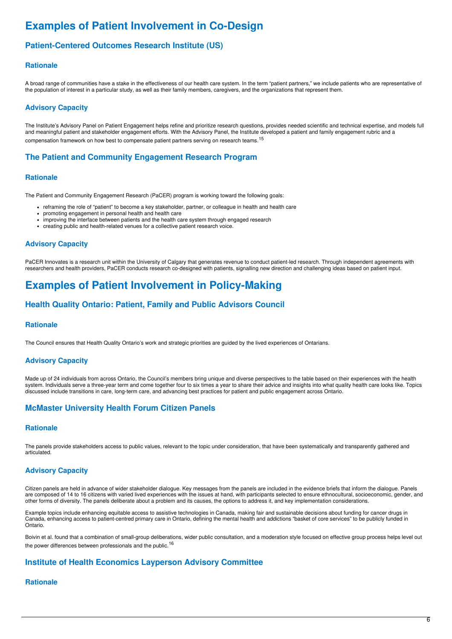# **Examples of Patient Involvement in Co-Design**

### **Patient-Centered Outcomes Research Institute (US)**

#### **Rationale**

A broad range of communities have a stake in the effectiveness of our health care system. In the term "patient partners," we include patients who are representative of the population of interest in a particular study, as well as their family members, caregivers, and the organizations that represent them.

#### **Advisory Capacity**

The Institute's Advisory Panel on Patient Engagement helps refine and prioritize research questions, provides needed scientific and technical expertise, and models full and meaningful patient and stakeholder engagement efforts. With the Advisory Panel, the Institute developed a patient and family engagement rubric and a compensation framework on how best to compensate patient partners serving on research teams. <sup>15</sup>

### **The Patient and Community Engagement Research Program**

#### **Rationale**

The Patient and Community Engagement Research (PaCER) program is working toward the following goals:

- reframing the role of "patient" to become a key stakeholder, partner, or colleague in health and health care
- promoting engagement in personal health and health care
- improving the interface between patients and the health care system through engaged research
- creating public and health-related venues for a collective patient research voice.

#### **Advisory Capacity**

PaCER Innovates is a research unit within the University of Calgary that generates revenue to conduct patient-led research. Through independent agreements with researchers and health providers, PaCER conducts research co-designed with patients, signalling new direction and challenging ideas based on patient input.

# **Examples of Patient Involvement in Policy-Making**

#### **Health Quality Ontario: Patient, Family and Public Advisors Council**

#### **Rationale**

The Council ensures that Health Quality Ontario's work and strategic priorities are guided by the lived experiences of Ontarians.

#### **Advisory Capacity**

Made up of 24 individuals from across Ontario, the Council's members bring unique and diverse perspectives to the table based on their experiences with the health system. Individuals serve a three-year term and come together four to six times a year to share their advice and insights into what quality health care looks like. Topics discussed include transitions in care, long-term care, and advancing best practices for patient and public engagement across Ontario.

### **McMaster University Health Forum Citizen Panels**

#### **Rationale**

The panels provide stakeholders access to public values, relevant to the topic under consideration, that have been systematically and transparently gathered and articulated.

#### **Advisory Capacity**

Citizen panels are held in advance of wider stakeholder dialogue. Key messages from the panels are included in the evidence briefs that inform the dialogue. Panels are composed of 14 to 16 citizens with varied lived experiences with the issues at hand, with participants selected to ensure ethnocultural, socioeconomic, gender, and other forms of diversity. The panels deliberate about a problem and its causes, the options to address it, and key implementation considerations.

Example topics include enhancing equitable access to assistive technologies in Canada, making fair and sustainable decisions about funding for cancer drugs in Canada, enhancing access to patient-centred primary care in Ontario, defining the mental health and addictions "basket of core services" to be publicly funded in Ontario.

Boivin et al. found that a combination of small-group deliberations, wider public consultation, and a moderation style focused on effective group process helps level out the power differences between professionals and the public.<sup>16</sup>

#### **Institute of Health Economics Layperson Advisory Committee**

#### **Rationale**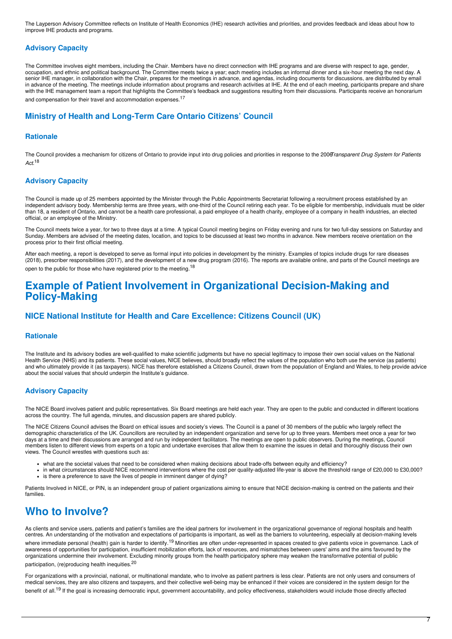The Layperson Advisory Committee reflects on Institute of Health Economics (IHE) research activities and priorities, and provides feedback and ideas about how to improve IHE products and programs.

#### **Advisory Capacity**

The Committee involves eight members, including the Chair. Members have no direct connection with IHE programs and are diverse with respect to age, gender, occupation, and ethnic and political background. The Committee meets twice a year; each meeting includes an informal dinner and a six-hour meeting the next day. A senior IHE manager, in collaboration with the Chair, prepares for the meetings in advance, and agendas, including documents for discussions, are distributed by email in advance of the meeting. The meetings include information about programs and research activities at IHE. At the end of each meeting, participants prepare and share with the IHE management team a report that highlights the Committee's feedback and suggestions resulting from their discussions. Participants receive an honorarium and compensation for their travel and accommodation expenses.<sup>17</sup>

#### **Ministry of Health and Long-Term Care Ontario Citizens' Council**

#### **Rationale**

The Council provides a mechanism for citizens of Ontario to provide input into drug policies and priorities in response to the 2006*Transparent Drug System for Patients Act*. 18

#### **Advisory Capacity**

The Council is made up of 25 members appointed by the Minister through the Public Appointments Secretariat following a recruitment process established by an independent advisory body. Membership terms are three years, with one-third of the Council retiring each year. To be eligible for membership, individuals must be older than 18, a resident of Ontario, and cannot be a health care professional, a paid employee of a health charity, employee of a company in health industries, an elected official, or an employee of the Ministry.

The Council meets twice a year, for two to three days at a time. A typical Council meeting begins on Friday evening and runs for two full-day sessions on Saturday and Sunday. Members are advised of the meeting dates, location, and topics to be discussed at least two months in advance. New members receive orientation on the process prior to their first official meeting.

After each meeting, a report is developed to serve as formal input into policies in development by the ministry. Examples of topics include drugs for rare diseases (2018), prescriber responsibilities (2017), and the development of a new drug program (2016). The reports are available online, and parts of the Council meetings are open to the public for those who have registered prior to the meeting.<sup>18</sup>

## **Example of Patient Involvement in Organizational Decision-Making and Policy-Making**

#### **NICE National Institute for Health and Care Excellence: Citizens Council (UK)**

#### **Rationale**

The Institute and its advisory bodies are well-qualified to make scientific judgments but have no special legitimacy to impose their own social values on the National Health Service (NHS) and its patients. These social values, NICE believes, should broadly reflect the values of the population who both use the service (as patients) and who ultimately provide it (as taxpayers). NICE has therefore established a Citizens Council, drawn from the population of England and Wales, to help provide advice about the social values that should underpin the Institute's guidance.

#### **Advisory Capacity**

The NICE Board involves patient and public representatives. Six Board meetings are held each year. They are open to the public and conducted in different locations across the country. The full agenda, minutes, and discussion papers are shared publicly.

The NICE Citizens Council advises the Board on ethical issues and society's views. The Council is a panel of 30 members of the public who largely reflect the demographic characteristics of the UK. Councillors are recruited by an independent organization and serve for up to three years. Members meet once a year for two days at a time and their discussions are arranged and run by independent facilitators. The meetings are open to public observers. During the meetings, Council members listen to different views from experts on a topic and undertake exercises that allow them to examine the issues in detail and thoroughly discuss their own views. The Council wrestles with questions such as:

- what are the societal values that need to be considered when making decisions about trade-offs between equity and efficiency?
- in what circumstances should NICE recommend interventions where the cost per quality-adjusted life-year is above the threshold range of £20,000 to £30,000? • is there a preference to save the lives of people in imminent danger of dying?

Patients Involved in NICE, or PIN, is an independent group of patient organizations aiming to ensure that NICE decision-making is centred on the patients and their families.

# **Who to Involve?**

As clients and service users, patients and patient's families are the ideal partners for involvement in the organizational governance of regional hospitals and health centres. An understanding of the motivation and expectations of participants is important, as well as the barriers to volunteering, especially at decision-making levels where immediate personal (health) gain is harder to identify.<sup>19</sup> Minorities are often under-represented in spaces created to give patients voice in governance. Lack of awareness of opportunities for participation, insufficient mobilization efforts, lack of resources, and mismatches between users' aims and the aims favoured by the organizations undermine their involvement. Excluding minority groups from the health participatory sphere may weaken the transformative potential of public participation, (re)producing health inequities.<sup>20</sup>

For organizations with a provincial, national, or multinational mandate, who to involve as patient partners is less clear. Patients are not only users and consumers of medical services, they are also citizens and taxpayers, and their collective well-being may be enhanced if their voices are considered in the system design for the benefit of all.<sup>19</sup> If the goal is increasing democratic input, government accountability, and policy effectiveness, stakeholders would include those directly affected